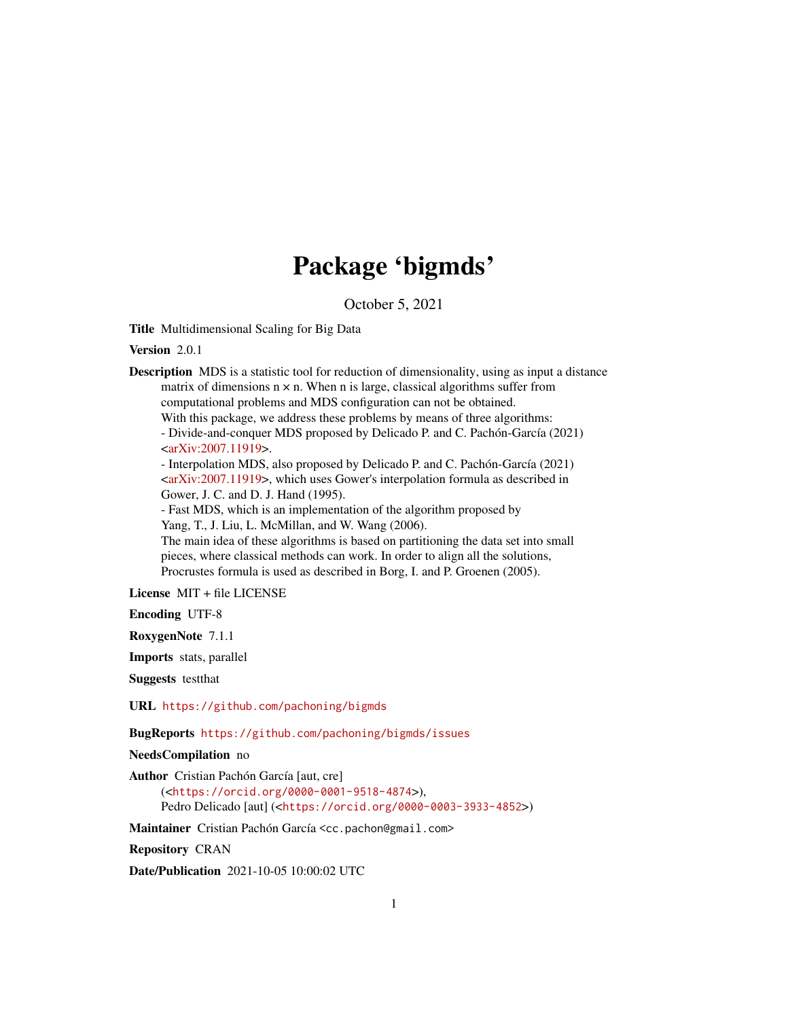# Package 'bigmds'

October 5, 2021

Title Multidimensional Scaling for Big Data

Version 2.0.1

Description MDS is a statistic tool for reduction of dimensionality, using as input a distance matrix of dimensions  $n \times n$ . When n is large, classical algorithms suffer from computational problems and MDS configuration can not be obtained. With this package, we address these problems by means of three algorithms: - Divide-and-conquer MDS proposed by Delicado P. and C. Pachón-García (2021)  $\langle \text{arXiv:2007}.11919 \rangle$ . - Interpolation MDS, also proposed by Delicado P. and C. Pachón-García (2021) [<arXiv:2007.11919>](https://arxiv.org/abs/2007.11919), which uses Gower's interpolation formula as described in Gower, J. C. and D. J. Hand (1995). - Fast MDS, which is an implementation of the algorithm proposed by Yang, T., J. Liu, L. McMillan, and W. Wang (2006). The main idea of these algorithms is based on partitioning the data set into small pieces, where classical methods can work. In order to align all the solutions, Procrustes formula is used as described in Borg, I. and P. Groenen (2005).

License MIT + file LICENSE

Encoding UTF-8

RoxygenNote 7.1.1

Imports stats, parallel

Suggests testthat

URL <https://github.com/pachoning/bigmds>

BugReports <https://github.com/pachoning/bigmds/issues>

NeedsCompilation no

```
Author Cristian Pachón García [aut, cre]
     (<https://orcid.org/0000-0001-9518-4874>),
     Pedro Delicado [aut] (<https://orcid.org/0000-0003-3933-4852>)
```
Maintainer Cristian Pachón García <cc.pachon@gmail.com>

Repository CRAN

Date/Publication 2021-10-05 10:00:02 UTC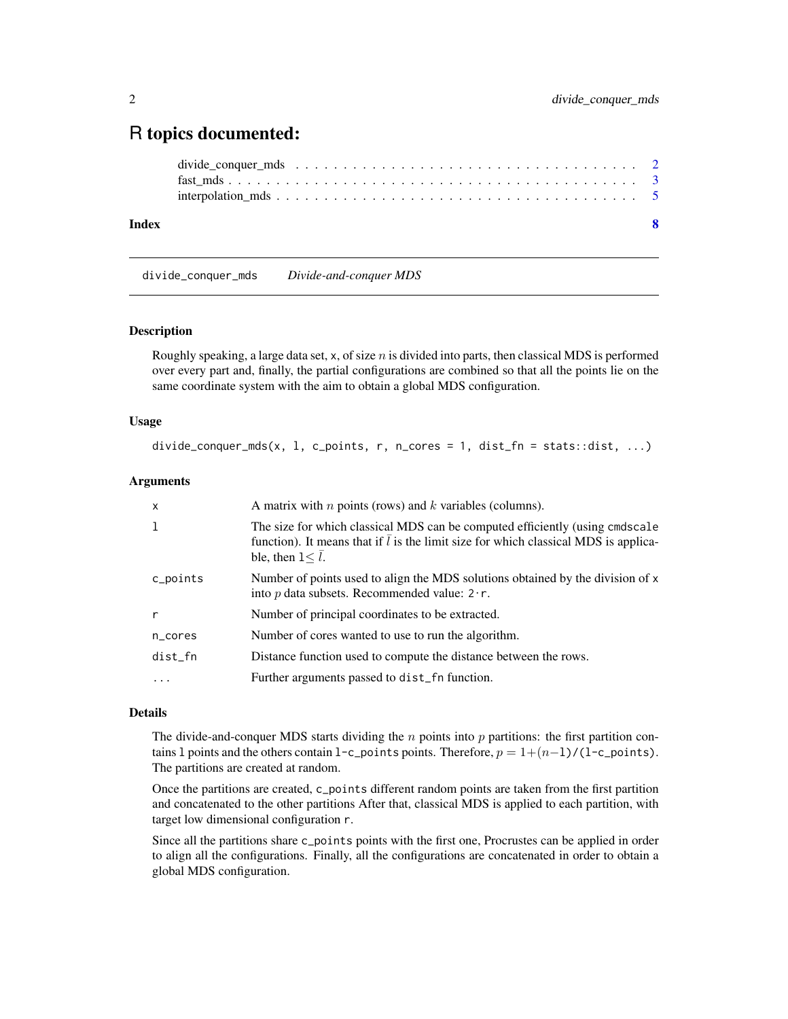## <span id="page-1-0"></span>R topics documented:

#### **Index** [8](#page-7-0) **8**

divide\_conquer\_mds *Divide-and-conquer MDS*

#### Description

Roughly speaking, a large data set, x, of size  $n$  is divided into parts, then classical MDS is performed over every part and, finally, the partial configurations are combined so that all the points lie on the same coordinate system with the aim to obtain a global MDS configuration.

#### Usage

```
divide_conquer_mds(x, 1, c_points, r, n_cores = 1, dist_fn = stats::dist, ...)
```
#### Arguments

| $\mathsf{x}$ | A matrix with $n$ points (rows) and $k$ variables (columns).                                                                                                                                            |
|--------------|---------------------------------------------------------------------------------------------------------------------------------------------------------------------------------------------------------|
| $\mathbf{1}$ | The size for which classical MDS can be computed efficiently (using cmdscale<br>function). It means that if $\overline{l}$ is the limit size for which classical MDS is applica-<br>ble, then $1 < l$ . |
| c_points     | Number of points used to align the MDS solutions obtained by the division of x<br>into p data subsets. Recommended value: $2 \cdot r$ .                                                                 |
| r            | Number of principal coordinates to be extracted.                                                                                                                                                        |
| n_cores      | Number of cores wanted to use to run the algorithm.                                                                                                                                                     |
| dist_fn      | Distance function used to compute the distance between the rows.                                                                                                                                        |
| $\cdots$     | Further arguments passed to dist_fn function.                                                                                                                                                           |
|              |                                                                                                                                                                                                         |

#### Details

The divide-and-conquer MDS starts dividing the  $n$  points into  $p$  partitions: the first partition contains 1 points and the others contain 1-c\_points points. Therefore,  $p = 1+(n-1)/(1-c_1)$  points). The partitions are created at random.

Once the partitions are created, c\_points different random points are taken from the first partition and concatenated to the other partitions After that, classical MDS is applied to each partition, with target low dimensional configuration r.

Since all the partitions share c\_points points with the first one, Procrustes can be applied in order to align all the configurations. Finally, all the configurations are concatenated in order to obtain a global MDS configuration.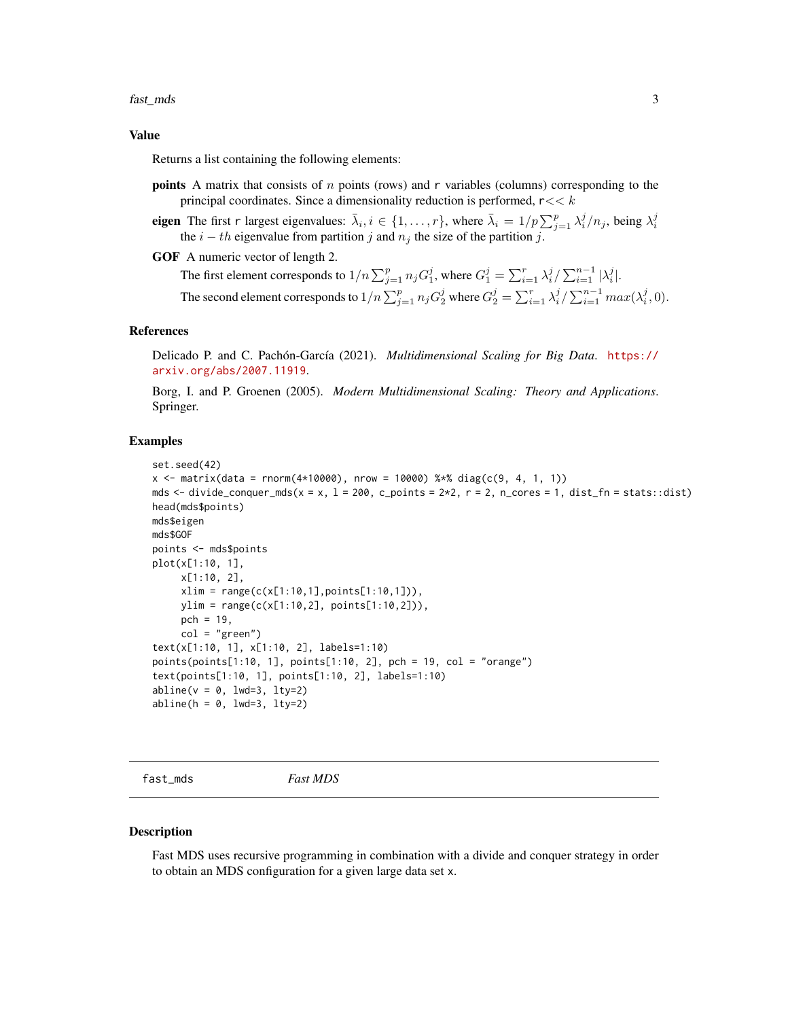#### <span id="page-2-0"></span>fast\_mds 3

#### Value

Returns a list containing the following elements:

**points** A matrix that consists of  $n$  points (rows) and  $r$  variables (columns) corresponding to the principal coordinates. Since a dimensionality reduction is performed,  $r \ll k$ 

eigen The first r largest eigenvalues:  $\bar{\lambda}_i$ ,  $i \in \{1, ..., r\}$ , where  $\bar{\lambda}_i = 1/p \sum_{j=1}^p \lambda_i^j/n_j$ , being  $\lambda_i^j$  the  $i - th$  eigenvalue from partition j and  $n_j$  the size of the partition j.

GOF A numeric vector of length 2.

The first element corresponds to  $1/n \sum_{j=1}^p n_j G_1^j$ , where  $G_1^j = \sum_{i=1}^r \lambda_i^j / \sum_{i=1}^{n-1} |\lambda_i^j|$ . The second element corresponds to  $1/n \sum_{j=1}^p n_j G_2^j$  where  $G_2^j = \sum_{i=1}^r \lambda_i^j / \sum_{i=1}^{n-1} max(\lambda_i^j, 0)$ .

#### References

Delicado P. and C. Pachón-García (2021). *Multidimensional Scaling for Big Data*. [https://](https://arxiv.org/abs/2007.11919) [arxiv.org/abs/2007.11919](https://arxiv.org/abs/2007.11919).

Borg, I. and P. Groenen (2005). *Modern Multidimensional Scaling: Theory and Applications*. Springer.

#### Examples

```
set.seed(42)
x \le - matrix(data = rnorm(4*10000), nrow = 10000) %*% diag(c(9, 4, 1, 1))
mds \le- divide_conquer_mds(x = x, l = 200, c_points = 2*2, r = 2, n_cores = 1, dist_fn = stats::dist)
head(mds$points)
mds$eigen
mds$GOF
points <- mds$points
plot(x[1:10, 1],
     x[1:10, 2],
     xlim = range(c(x[1:10,1], points[1:10,1])),
     ylim = range(c(x[1:10,2], points[1:10,2])),
     pch = 19,
     col = "green")text(x[1:10, 1], x[1:10, 2], labels=1:10)
points(points[1:10, 1], points[1:10, 2], pch = 19, col = "orange")
text(points[1:10, 1], points[1:10, 2], labels=1:10)
abline(v = 0, \text{ lwd}=3, \text{ lty}=2)abline(h = 0, \text{lwd}=3, \text{lty}=2)
```
fast\_mds *Fast MDS*

#### Description

Fast MDS uses recursive programming in combination with a divide and conquer strategy in order to obtain an MDS configuration for a given large data set x.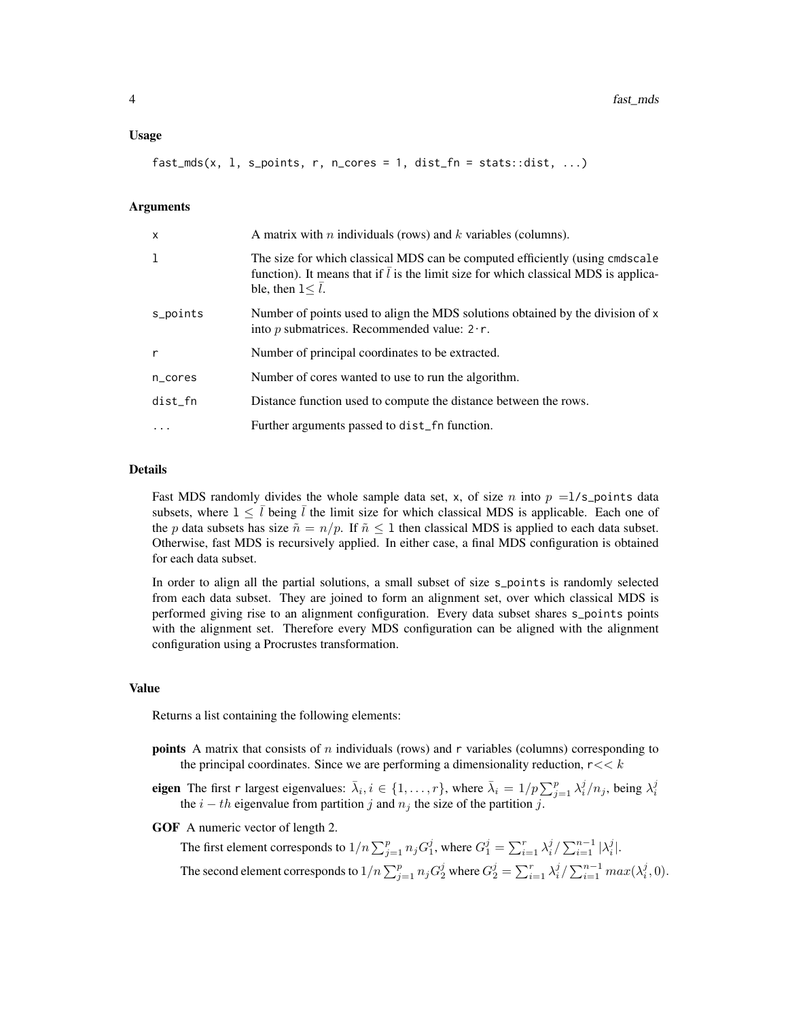#### Usage

 $fast_mds(x, 1, s_ points, r, n_cores = 1, dist_fn = stats::dist, ...)$ 

#### Arguments

| $\mathsf{x}$ | A matrix with <i>n</i> individuals (rows) and <i>k</i> variables (columns).                                                                                                                                   |
|--------------|---------------------------------------------------------------------------------------------------------------------------------------------------------------------------------------------------------------|
| 1            | The size for which classical MDS can be computed efficiently (using cmdscale<br>function). It means that if $\bar{l}$ is the limit size for which classical MDS is applica-<br>ble, then $1 < \overline{l}$ . |
| s_points     | Number of points used to align the MDS solutions obtained by the division of x<br>into p submatrices. Recommended value: $2 \cdot r$ .                                                                        |
| $\mathsf{r}$ | Number of principal coordinates to be extracted.                                                                                                                                                              |
| n_cores      | Number of cores wanted to use to run the algorithm.                                                                                                                                                           |
| dist_fn      | Distance function used to compute the distance between the rows.                                                                                                                                              |
|              | Further arguments passed to dist_fn function.                                                                                                                                                                 |

#### Details

Fast MDS randomly divides the whole sample data set, x, of size n into  $p =1/s$  points data subsets, where  $1 \leq \bar{l}$  being  $\bar{l}$  the limit size for which classical MDS is applicable. Each one of the p data subsets has size  $\tilde{n} = n/p$ . If  $\tilde{n} \le 1$  then classical MDS is applied to each data subset. Otherwise, fast MDS is recursively applied. In either case, a final MDS configuration is obtained for each data subset.

In order to align all the partial solutions, a small subset of size s\_points is randomly selected from each data subset. They are joined to form an alignment set, over which classical MDS is performed giving rise to an alignment configuration. Every data subset shares s\_points points with the alignment set. Therefore every MDS configuration can be aligned with the alignment configuration using a Procrustes transformation.

#### Value

Returns a list containing the following elements:

- **points** A matrix that consists of n individuals (rows) and r variables (columns) corresponding to the principal coordinates. Since we are performing a dimensionality reduction,  $r \ll k$
- eigen The first r largest eigenvalues:  $\bar{\lambda}_i, i \in \{1, \ldots, r\}$ , where  $\bar{\lambda}_i = 1/p \sum_{j=1}^p \lambda_i^j/n_j$ , being  $\lambda_i^j$ the  $i - th$  eigenvalue from partition j and  $n_i$  the size of the partition j.

GOF A numeric vector of length 2.

The first element corresponds to  $1/n \sum_{j=1}^p n_j G_1^j$ , where  $G_1^j = \sum_{i=1}^r \lambda_i^j / \sum_{i=1}^{n-1} |\lambda_i^j|$ . The second element corresponds to  $1/n \sum_{j=1}^p n_j G_2^j$  where  $G_2^j = \sum_{i=1}^r \lambda_i^j / \sum_{i=1}^{n-1} max(\lambda_i^j, 0)$ .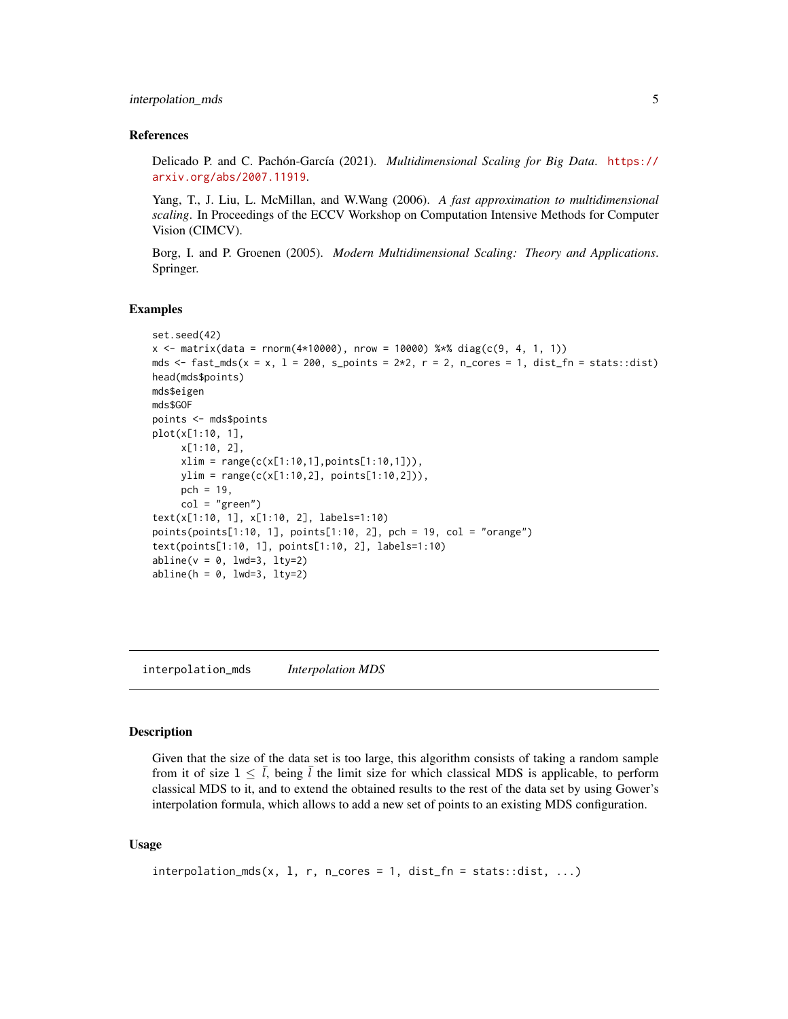#### <span id="page-4-0"></span>interpolation\_mds 5

#### References

Delicado P. and C. Pachón-García (2021). *Multidimensional Scaling for Big Data*. [https://](https://arxiv.org/abs/2007.11919) [arxiv.org/abs/2007.11919](https://arxiv.org/abs/2007.11919).

Yang, T., J. Liu, L. McMillan, and W.Wang (2006). *A fast approximation to multidimensional scaling*. In Proceedings of the ECCV Workshop on Computation Intensive Methods for Computer Vision (CIMCV).

Borg, I. and P. Groenen (2005). *Modern Multidimensional Scaling: Theory and Applications*. Springer.

#### Examples

```
set.seed(42)
x \le - matrix(data = rnorm(4*10000), nrow = 10000) %*% diag(c(9, 4, 1, 1))
mds \le fast_mds(x = x, 1 = 200, s_points = 2*2, r = 2, n_cores = 1, dist_fn = stats::dist)
head(mds$points)
mds$eigen
mds$GOF
points <- mds$points
plot(x[1:10, 1],
     x[1:10, 2],
     xlim = range(c(x[1:10,1], points[1:10,1])),
     ylim = range(c(x[1:10,2], points[1:10,2])),
     pch = 19,
     col = "green")text(x[1:10, 1], x[1:10, 2], labels=1:10)
points(points[1:10, 1], points[1:10, 2], pch = 19, col = "orange")
text(points[1:10, 1], points[1:10, 2], labels=1:10)
abline(v = 0, \text{ lwd=3}, \text{ lty=2})abline(h = 0, \text{lwd}=3, \text{lty}=2)
```
interpolation\_mds *Interpolation MDS*

#### Description

Given that the size of the data set is too large, this algorithm consists of taking a random sample from it of size  $1 \leq \bar{l}$ , being  $\bar{l}$  the limit size for which classical MDS is applicable, to perform classical MDS to it, and to extend the obtained results to the rest of the data set by using Gower's interpolation formula, which allows to add a new set of points to an existing MDS configuration.

#### Usage

```
interpolation_mds(x, 1, r, n_cores = 1, dist_fn = stats::dist, ...)
```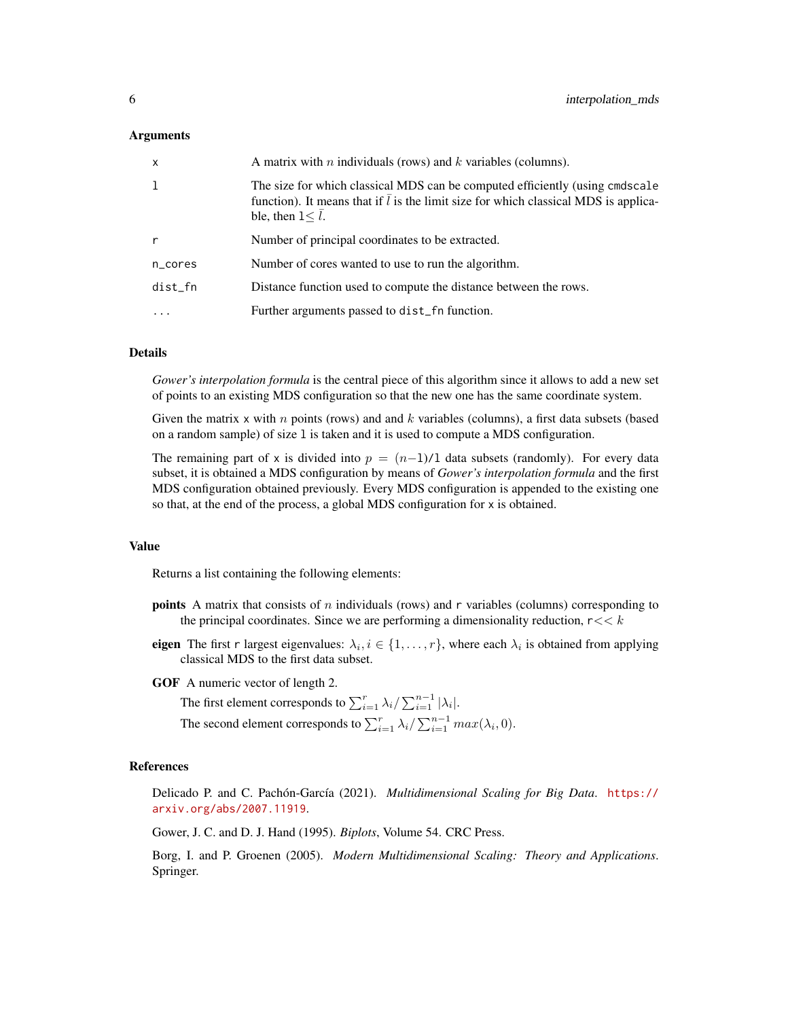#### Arguments

| $\mathsf{x}$ | A matrix with <i>n</i> individuals (rows) and <i>k</i> variables (columns).                                                                                                                                        |
|--------------|--------------------------------------------------------------------------------------------------------------------------------------------------------------------------------------------------------------------|
|              | The size for which classical MDS can be computed efficiently (using cmdscale<br>function). It means that if $\overline{l}$ is the limit size for which classical MDS is applica-<br>ble, then $1 < \overline{l}$ . |
|              | Number of principal coordinates to be extracted.                                                                                                                                                                   |
| n_cores      | Number of cores wanted to use to run the algorithm.                                                                                                                                                                |
| dist_fn      | Distance function used to compute the distance between the rows.                                                                                                                                                   |
| .            | Further arguments passed to dist_fn function.                                                                                                                                                                      |

#### Details

*Gower's interpolation formula* is the central piece of this algorithm since it allows to add a new set of points to an existing MDS configuration so that the new one has the same coordinate system.

Given the matrix x with n points (rows) and and  $k$  variables (columns), a first data subsets (based on a random sample) of size l is taken and it is used to compute a MDS configuration.

The remaining part of x is divided into  $p = (n-1)/1$  data subsets (randomly). For every data subset, it is obtained a MDS configuration by means of *Gower's interpolation formula* and the first MDS configuration obtained previously. Every MDS configuration is appended to the existing one so that, at the end of the process, a global MDS configuration for x is obtained.

#### Value

Returns a list containing the following elements:

- **points** A matrix that consists of n individuals (rows) and r variables (columns) corresponding to the principal coordinates. Since we are performing a dimensionality reduction,  $r \ll k$
- eigen The first r largest eigenvalues:  $\lambda_i, i \in \{1, \ldots, r\}$ , where each  $\lambda_i$  is obtained from applying classical MDS to the first data subset.
- GOF A numeric vector of length 2.

The first element corresponds to  $\sum_{i=1}^{r} \lambda_i / \sum_{i=1}^{n-1} |\lambda_i|$ .

The second element corresponds to  $\sum_{i=1}^{r} \lambda_i / \sum_{i=1}^{n-1} max(\lambda_i, 0)$ .

#### References

Delicado P. and C. Pachón-García (2021). *Multidimensional Scaling for Big Data*. [https://](https://arxiv.org/abs/2007.11919) [arxiv.org/abs/2007.11919](https://arxiv.org/abs/2007.11919).

Gower, J. C. and D. J. Hand (1995). *Biplots*, Volume 54. CRC Press.

Borg, I. and P. Groenen (2005). *Modern Multidimensional Scaling: Theory and Applications*. Springer.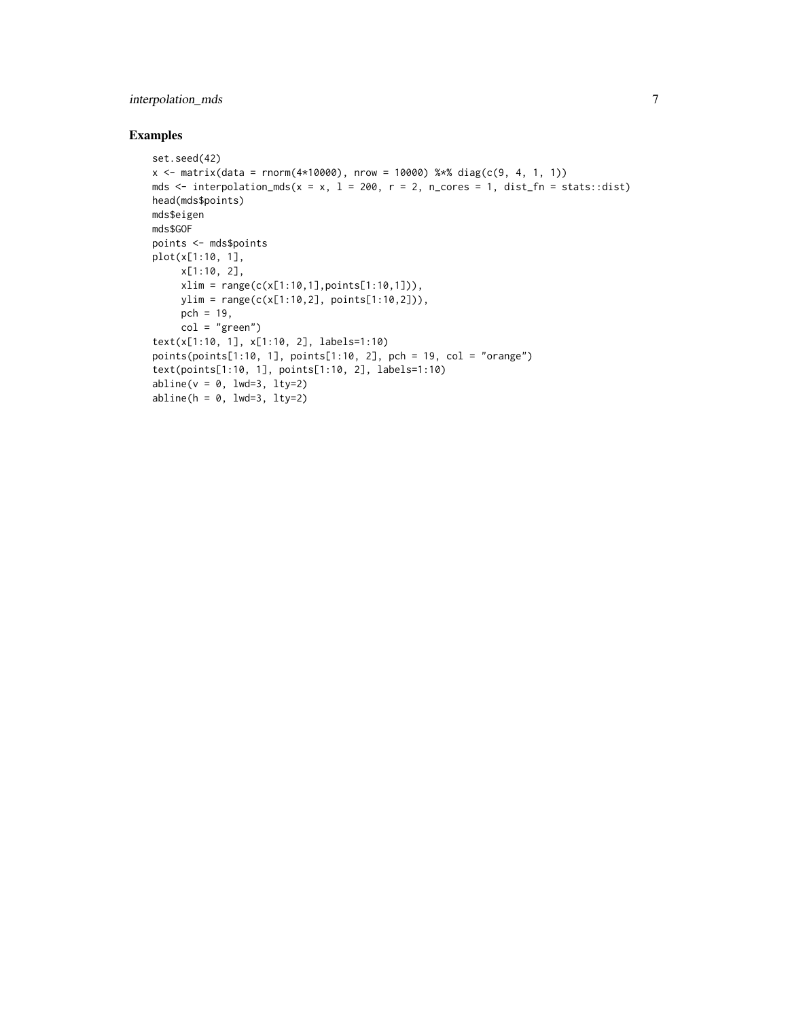### interpolation\_mds 7

#### Examples

```
set.seed(42)
x \le matrix(data = rnorm(4*10000), nrow = 10000) %*% diag(c(9, 4, 1, 1))
mds \le interpolation_mds(x = x, 1 = 200, r = 2, n_cores = 1, dist_fn = stats::dist)
head(mds$points)
mds$eigen
mds$GOF
points <- mds$points
plot(x[1:10, 1],
     x[1:10, 2],
     xlim = range(c(x[1:10,1],points[1:10,1])),
     ylim = range(c(x[1:10,2], points[1:10,2])),
     pch = 19,
     col = "green")
text(x[1:10, 1], x[1:10, 2], labels=1:10)
points(points[1:10, 1], points[1:10, 2], pch = 19, col = "orange")
text(points[1:10, 1], points[1:10, 2], labels=1:10)
abline(v = 0, \text{ lwd=3}, \text{ lty=2})abline(h = 0, lwd=3, lty=2)
```